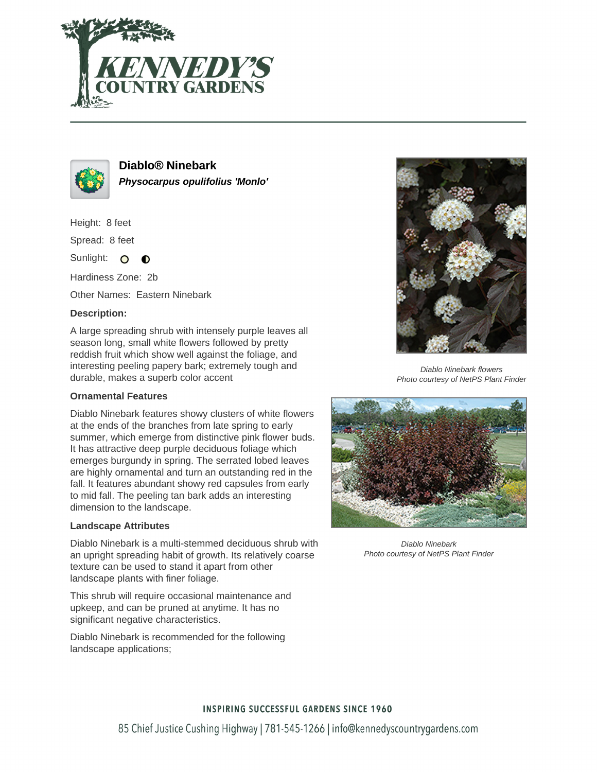



**Diablo® Ninebark Physocarpus opulifolius 'Monlo'**

Height: 8 feet

Spread: 8 feet

Sunlight: O  $\bullet$ 

Hardiness Zone: 2b

Other Names: Eastern Ninebark

# **Description:**

A large spreading shrub with intensely purple leaves all season long, small white flowers followed by pretty reddish fruit which show well against the foliage, and interesting peeling papery bark; extremely tough and durable, makes a superb color accent

### **Ornamental Features**

Diablo Ninebark features showy clusters of white flowers at the ends of the branches from late spring to early summer, which emerge from distinctive pink flower buds. It has attractive deep purple deciduous foliage which emerges burgundy in spring. The serrated lobed leaves are highly ornamental and turn an outstanding red in the fall. It features abundant showy red capsules from early to mid fall. The peeling tan bark adds an interesting dimension to the landscape.

# **Landscape Attributes**

Diablo Ninebark is a multi-stemmed deciduous shrub with an upright spreading habit of growth. Its relatively coarse texture can be used to stand it apart from other landscape plants with finer foliage.

This shrub will require occasional maintenance and upkeep, and can be pruned at anytime. It has no significant negative characteristics.

Diablo Ninebark is recommended for the following landscape applications;



Diablo Ninebark flowers Photo courtesy of NetPS Plant Finder



Diablo Ninebark Photo courtesy of NetPS Plant Finder

# **INSPIRING SUCCESSFUL GARDENS SINCE 1960**